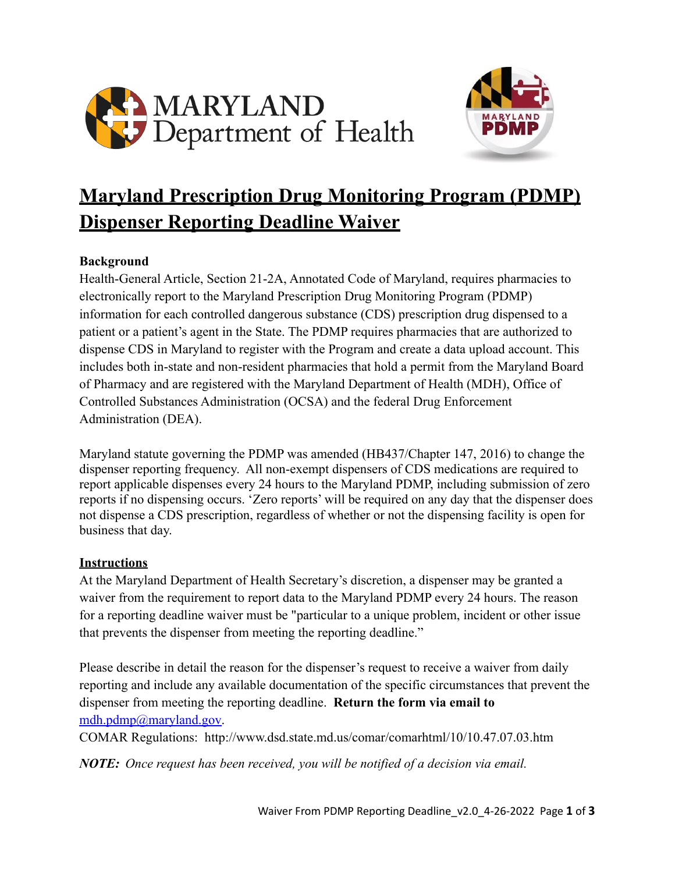



# **Maryland Prescription Drug Monitoring Program (PDMP) Dispenser Reporting Deadline Waiver**

#### **Background**

Health-General Article, Section 21-2A, Annotated Code of Maryland, requires pharmacies to electronically report to the Maryland Prescription Drug Monitoring Program (PDMP) information for each controlled dangerous substance (CDS) prescription drug dispensed to a patient or a patient's agent in the State. The PDMP requires pharmacies that are authorized to dispense CDS in Maryland to register with the Program and create a data upload account. This includes both in-state and non-resident pharmacies that hold a permit from the Maryland Board of Pharmacy and are registered with the Maryland Department of Health (MDH), Office of Controlled Substances Administration (OCSA) and the federal Drug Enforcement Administration (DEA).

Maryland statute governing the PDMP was amended (HB437/Chapter 147, 2016) to change the dispenser reporting frequency. All non-exempt dispensers of CDS medications are required to report applicable dispenses every 24 hours to the Maryland PDMP, including submission of zero reports if no dispensing occurs. 'Zero reports' will be required on any day that the dispenser does not dispense a CDS prescription, regardless of whether or not the dispensing facility is open for business that day.

#### **Instructions**

At the Maryland Department of Health Secretary's discretion, a dispenser may be granted a waiver from the requirement to report data to the Maryland PDMP every 24 hours. The reason for a reporting deadline waiver must be "particular to a unique problem, incident or other issue that prevents the dispenser from meeting the reporting deadline."

Please describe in detail the reason for the dispenser's request to receive a waiver from daily reporting and include any available documentation of the specific circumstances that prevent the dispenser from meeting the reporting deadline. **Return the form via email to** [mdh.pdmp@maryland.gov](mailto:mdh.pdmp@maryland.gov).

COMAR Regulations: http://www.dsd.state.md.us/comar/comarhtml/10/10.47.07.03.htm

*NOTE: Once request has been received, you will be notified of a decision via email.*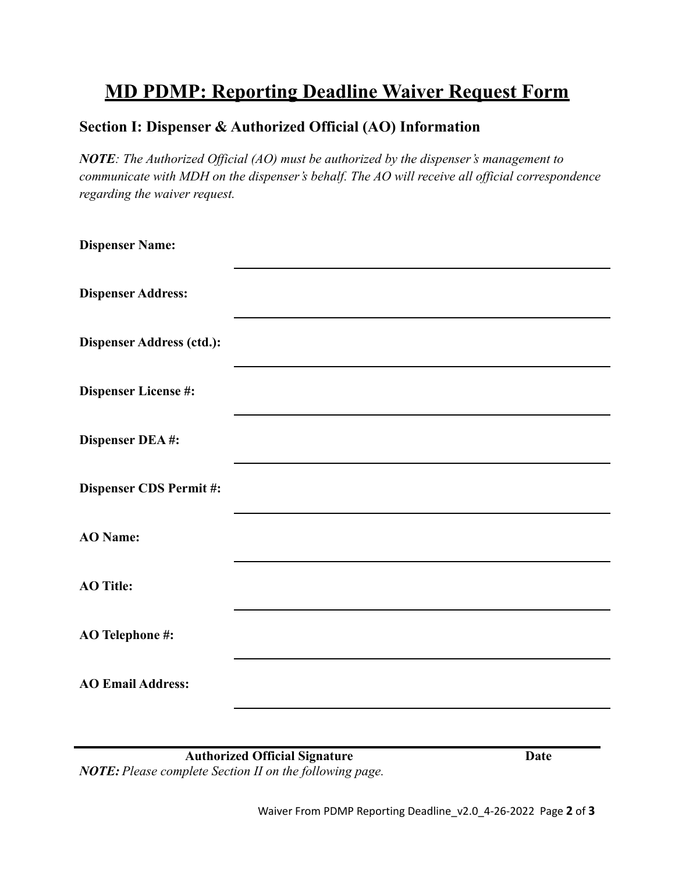## **MD PDMP: Reporting Deadline Waiver Request Form**

### **Section I: Dispenser & Authorized Official (AO) Information**

*NOTE: The Authorized Official (AO) must be authorized by the dispenser's management to communicate with MDH on the dispenser's behalf. The AO will receive all official correspondence regarding the waiver request.*

| <b>Dispenser Name:</b>           |  |
|----------------------------------|--|
| <b>Dispenser Address:</b>        |  |
| <b>Dispenser Address (ctd.):</b> |  |
| <b>Dispenser License #:</b>      |  |
| Dispenser DEA#:                  |  |
| <b>Dispenser CDS Permit#:</b>    |  |
| <b>AO</b> Name:                  |  |
| <b>AO</b> Title:                 |  |
| <b>AO Telephone #:</b>           |  |
| <b>AO Email Address:</b>         |  |
|                                  |  |